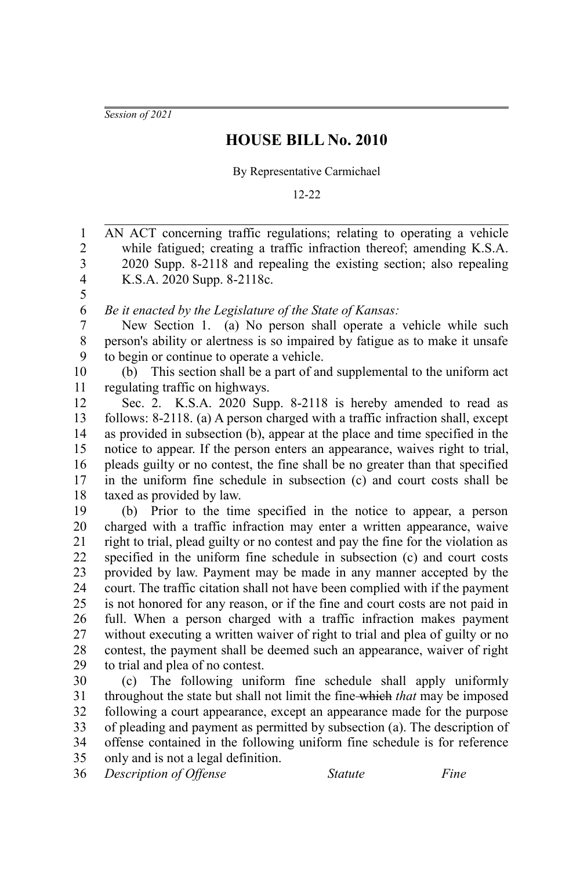*Session of 2021*

## **HOUSE BILL No. 2010**

By Representative Carmichael

12-22

AN ACT concerning traffic regulations; relating to operating a vehicle while fatigued; creating a traffic infraction thereof; amending K.S.A. 2020 Supp. 8-2118 and repealing the existing section; also repealing K.S.A. 2020 Supp. 8-2118c. *Be it enacted by the Legislature of the State of Kansas:* New Section 1. (a) No person shall operate a vehicle while such person's ability or alertness is so impaired by fatigue as to make it unsafe to begin or continue to operate a vehicle. (b) This section shall be a part of and supplemental to the uniform act regulating traffic on highways. Sec. 2. K.S.A. 2020 Supp. 8-2118 is hereby amended to read as follows: 8-2118. (a) A person charged with a traffic infraction shall, except as provided in subsection (b), appear at the place and time specified in the notice to appear. If the person enters an appearance, waives right to trial, pleads guilty or no contest, the fine shall be no greater than that specified in the uniform fine schedule in subsection (c) and court costs shall be taxed as provided by law. (b) Prior to the time specified in the notice to appear, a person charged with a traffic infraction may enter a written appearance, waive right to trial, plead guilty or no contest and pay the fine for the violation as specified in the uniform fine schedule in subsection (c) and court costs provided by law. Payment may be made in any manner accepted by the court. The traffic citation shall not have been complied with if the payment is not honored for any reason, or if the fine and court costs are not paid in full. When a person charged with a traffic infraction makes payment without executing a written waiver of right to trial and plea of guilty or no contest, the payment shall be deemed such an appearance, waiver of right to trial and plea of no contest. (c) The following uniform fine schedule shall apply uniformly throughout the state but shall not limit the fine which *that* may be imposed following a court appearance, except an appearance made for the purpose of pleading and payment as permitted by subsection (a). The description of offense contained in the following uniform fine schedule is for reference only and is not a legal definition. 1 2 3 4 5 6 7 8 9 10 11 12 13 14 15 16 17 18 19 20 21 22 23 24 25 26 27 28 29 30 31 32 33 34 35

*Description of Offense Statute Fine* 36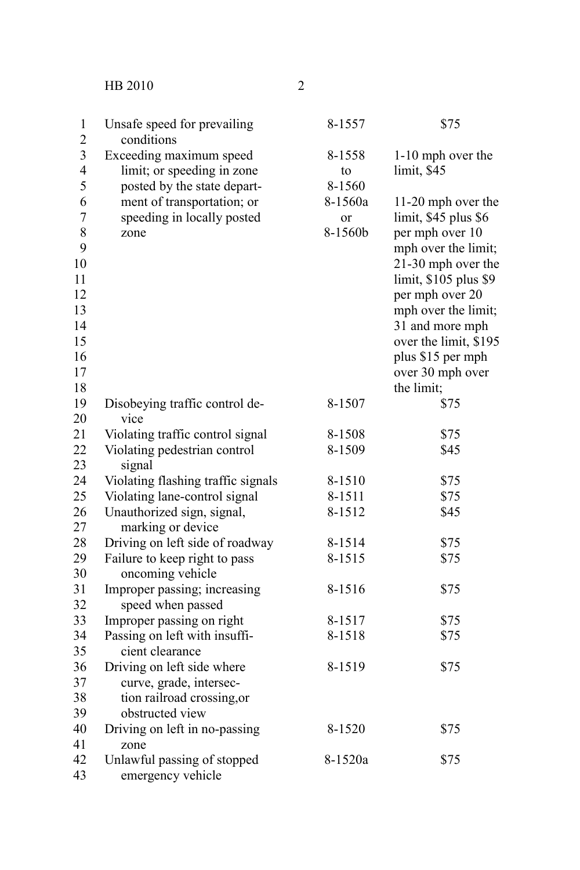HB 2010 2

| 1<br>$\overline{c}$               | Unsafe speed for prevailing<br>conditions                                            | 8-1557                   | \$75                                                                                 |
|-----------------------------------|--------------------------------------------------------------------------------------|--------------------------|--------------------------------------------------------------------------------------|
| 3<br>$\overline{\mathbf{4}}$<br>5 | Exceeding maximum speed<br>limit; or speeding in zone<br>posted by the state depart- | 8-1558<br>to<br>8-1560   | 1-10 mph over the<br>limit, \$45                                                     |
| 6<br>7<br>8<br>9                  | ment of transportation; or<br>speeding in locally posted<br>zone                     | 8-1560a<br>or<br>8-1560b | 11-20 mph over the<br>limit, \$45 plus \$6<br>per mph over 10<br>mph over the limit; |
| 10<br>11<br>12                    |                                                                                      |                          | 21-30 mph over the<br>limit, \$105 plus \$9<br>per mph over 20                       |
| 13<br>14                          |                                                                                      |                          | mph over the limit;<br>31 and more mph                                               |
| 15<br>16<br>17                    |                                                                                      |                          | over the limit, \$195<br>plus \$15 per mph<br>over 30 mph over                       |
| 18                                |                                                                                      |                          | the limit;                                                                           |
| 19<br>20                          | Disobeying traffic control de-<br>vice                                               | 8-1507                   | \$75                                                                                 |
| 21                                | Violating traffic control signal                                                     | 8-1508                   | \$75                                                                                 |
| 22<br>23                          | Violating pedestrian control<br>signal                                               | 8-1509                   | \$45                                                                                 |
| 24                                | Violating flashing traffic signals                                                   | 8-1510                   | \$75                                                                                 |
| 25                                | Violating lane-control signal                                                        | 8-1511                   | \$75                                                                                 |
| 26<br>27                          | Unauthorized sign, signal,<br>marking or device                                      | 8-1512                   | \$45                                                                                 |
| 28                                | Driving on left side of roadway                                                      | 8-1514                   | \$75                                                                                 |
| 29<br>30                          | Failure to keep right to pass<br>oncoming vehicle                                    | 8-1515                   | \$75                                                                                 |
| 31<br>32                          | Improper passing; increasing<br>speed when passed                                    | 8-1516                   | \$75                                                                                 |
| 33                                | Improper passing on right                                                            | 8-1517                   | \$75                                                                                 |
| 34                                | Passing on left with insuffi-                                                        | 8-1518                   | \$75                                                                                 |
| 35<br>36                          | cient clearance<br>Driving on left side where                                        | 8-1519                   | \$75                                                                                 |
| 37<br>38<br>39                    | curve, grade, intersec-<br>tion railroad crossing, or<br>obstructed view             |                          |                                                                                      |
| 40<br>41                          | Driving on left in no-passing<br>zone                                                | 8-1520                   | \$75                                                                                 |
| 42<br>43                          | Unlawful passing of stopped<br>emergency vehicle                                     | 8-1520a                  | \$75                                                                                 |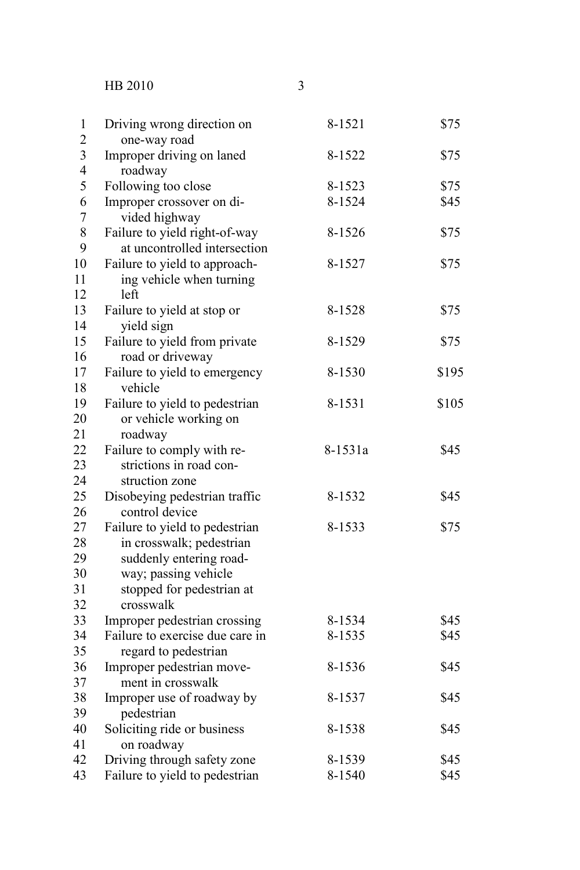HB 2010

| 1<br>$\overline{c}$ | Driving wrong direction on           | 8-1521  | \$75  |
|---------------------|--------------------------------------|---------|-------|
|                     | one-way road                         |         |       |
| 3<br>4              | Improper driving on laned<br>roadway | 8-1522  | \$75  |
| 5                   | Following too close                  | 8-1523  | \$75  |
| 6                   | Improper crossover on di-            | 8-1524  | \$45  |
| 7                   | vided highway                        |         |       |
| 8                   | Failure to yield right-of-way        | 8-1526  | \$75  |
| 9                   | at uncontrolled intersection         |         |       |
| 10                  | Failure to yield to approach-        | 8-1527  | \$75  |
| 11                  | ing vehicle when turning             |         |       |
| 12                  | left                                 |         |       |
| 13                  | Failure to yield at stop or          | 8-1528  | \$75  |
| 14                  | yield sign                           |         |       |
| 15                  | Failure to yield from private        | 8-1529  | \$75  |
| 16                  | road or driveway                     |         |       |
| 17                  | Failure to yield to emergency        | 8-1530  | \$195 |
| 18                  | vehicle                              |         |       |
| 19                  | Failure to yield to pedestrian       | 8-1531  | \$105 |
| 20                  | or vehicle working on                |         |       |
| 21                  | roadway                              |         |       |
| 22                  | Failure to comply with re-           | 8-1531a | \$45  |
| 23                  | strictions in road con-              |         |       |
| 24                  | struction zone                       |         |       |
| 25                  | Disobeying pedestrian traffic        | 8-1532  | \$45  |
| 26                  | control device                       |         |       |
| 27                  | Failure to yield to pedestrian       | 8-1533  | \$75  |
| 28                  | in crosswalk; pedestrian             |         |       |
| 29                  | suddenly entering road-              |         |       |
| 30                  | way; passing vehicle                 |         |       |
| 31                  | stopped for pedestrian at            |         |       |
| 32                  | crosswalk                            |         |       |
| 33                  | Improper pedestrian crossing         | 8-1534  | \$45  |
| 34                  | Failure to exercise due care in      | 8-1535  | \$45  |
| 35                  | regard to pedestrian                 |         |       |
| 36                  | Improper pedestrian move-            | 8-1536  | \$45  |
| 37                  | ment in crosswalk                    |         |       |
| 38                  | Improper use of roadway by           | 8-1537  | \$45  |
| 39                  | pedestrian                           |         |       |
| 40<br>41            | Soliciting ride or business          | 8-1538  | \$45  |
| 42                  | on roadway                           |         | \$45  |
|                     | Driving through safety zone          | 8-1539  |       |
| 43                  | Failure to yield to pedestrian       | 8-1540  | \$45  |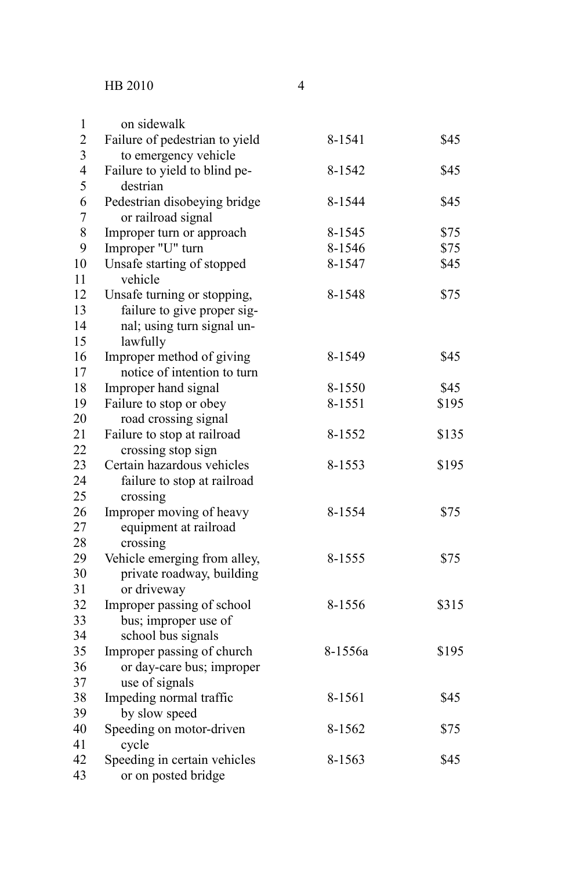| $\,1$            | on sidewalk                    |         |       |
|------------------|--------------------------------|---------|-------|
| $\overline{c}$   | Failure of pedestrian to yield | 8-1541  | \$45  |
| 3                | to emergency vehicle           |         |       |
| $\overline{4}$   | Failure to yield to blind pe-  | 8-1542  | \$45  |
| 5                | destrian                       |         |       |
| 6                | Pedestrian disobeying bridge   | 8-1544  | \$45  |
| $\boldsymbol{7}$ | or railroad signal             |         |       |
| $\,8\,$          | Improper turn or approach      | 8-1545  | \$75  |
| 9                | Improper "U" turn              | 8-1546  | \$75  |
| 10               | Unsafe starting of stopped     | 8-1547  | \$45  |
| 11               | vehicle                        |         |       |
| 12               | Unsafe turning or stopping,    | 8-1548  | \$75  |
| 13               | failure to give proper sig-    |         |       |
| 14               | nal; using turn signal un-     |         |       |
| 15               | lawfully                       |         |       |
| 16               | Improper method of giving      | 8-1549  | \$45  |
| 17               | notice of intention to turn    |         |       |
| 18               | Improper hand signal           | 8-1550  | \$45  |
| 19               | Failure to stop or obey        | 8-1551  | \$195 |
| 20               | road crossing signal           |         |       |
| 21               | Failure to stop at railroad    | 8-1552  | \$135 |
| 22               | crossing stop sign             |         |       |
| 23               | Certain hazardous vehicles     | 8-1553  | \$195 |
| 24               | failure to stop at railroad    |         |       |
| 25               | crossing                       |         |       |
| 26               | Improper moving of heavy       | 8-1554  | \$75  |
| 27               | equipment at railroad          |         |       |
| 28               | crossing                       |         |       |
| 29               | Vehicle emerging from alley,   | 8-1555  | \$75  |
| 30               | private roadway, building      |         |       |
| 31               | or driveway                    |         |       |
| 32               | Improper passing of school     | 8-1556  | \$315 |
| 33               | bus; improper use of           |         |       |
| 34               | school bus signals             |         |       |
| 35               | Improper passing of church     | 8-1556a | \$195 |
| 36               | or day-care bus; improper      |         |       |
| 37               | use of signals                 |         |       |
| 38               | Impeding normal traffic        | 8-1561  | \$45  |
| 39               | by slow speed                  |         |       |
| 40               | Speeding on motor-driven       | 8-1562  | \$75  |
| 41               | cycle                          |         |       |
| 42               | Speeding in certain vehicles   | 8-1563  | \$45  |
| 43               | or on posted bridge            |         |       |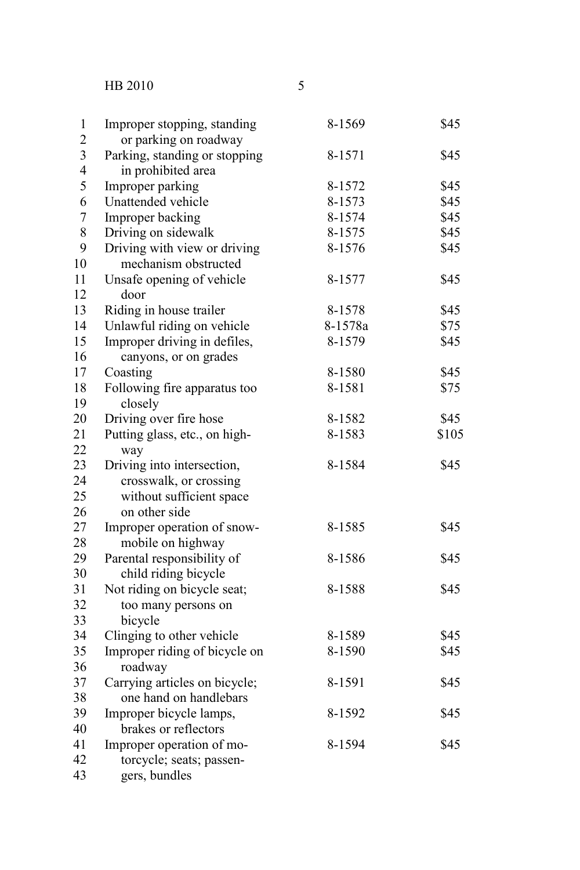HB 2010

| ۰                      |  |
|------------------------|--|
|                        |  |
| I<br>I<br>I<br>×<br>۰. |  |
|                        |  |

| $\mathbf{1}$            | Improper stopping, standing   | 8-1569  | \$45  |
|-------------------------|-------------------------------|---------|-------|
| $\overline{c}$          | or parking on roadway         |         |       |
| $\overline{\mathbf{3}}$ | Parking, standing or stopping | 8-1571  | \$45  |
| $\overline{4}$          | in prohibited area            |         |       |
| 5                       | Improper parking              | 8-1572  | \$45  |
| 6                       | Unattended vehicle            | 8-1573  | \$45  |
| $\overline{7}$          | Improper backing              | 8-1574  | \$45  |
| 8                       | Driving on sidewalk           | 8-1575  | \$45  |
| 9                       | Driving with view or driving  | 8-1576  | \$45  |
| 10                      | mechanism obstructed          |         |       |
| 11                      | Unsafe opening of vehicle     | 8-1577  | \$45  |
| 12                      | door                          |         |       |
| 13                      | Riding in house trailer       | 8-1578  | \$45  |
| 14                      | Unlawful riding on vehicle    | 8-1578a | \$75  |
| 15                      | Improper driving in defiles,  | 8-1579  | \$45  |
| 16                      | canyons, or on grades         |         |       |
| 17                      | Coasting                      | 8-1580  | \$45  |
| 18                      | Following fire apparatus too  | 8-1581  | \$75  |
| 19                      | closely                       |         |       |
| 20                      | Driving over fire hose        | 8-1582  | \$45  |
| 21                      | Putting glass, etc., on high- | 8-1583  | \$105 |
| 22                      | way                           |         |       |
| 23                      | Driving into intersection,    | 8-1584  | \$45  |
| 24                      | crosswalk, or crossing        |         |       |
| 25                      | without sufficient space      |         |       |
| 26                      | on other side                 |         |       |
| 27                      | Improper operation of snow-   | 8-1585  | \$45  |
| 28                      | mobile on highway             |         |       |
| 29                      | Parental responsibility of    | 8-1586  | \$45  |
| 30                      | child riding bicycle          |         |       |
| 31                      | Not riding on bicycle seat;   | 8-1588  | \$45  |
| 32                      | too many persons on           |         |       |
| 33                      | bicycle                       |         |       |
| 34                      | Clinging to other vehicle     | 8-1589  | \$45  |
| 35                      | Improper riding of bicycle on | 8-1590  | \$45  |
| 36                      | roadway                       |         |       |
| 37                      | Carrying articles on bicycle; | 8-1591  | \$45  |
| 38                      | one hand on handlebars        |         |       |
| 39                      | Improper bicycle lamps,       | 8-1592  | \$45  |
| 40                      | brakes or reflectors          |         |       |
| 41                      | Improper operation of mo-     | 8-1594  | \$45  |
| 42                      | torcycle; seats; passen-      |         |       |
| 43                      | gers, bundles                 |         |       |
|                         |                               |         |       |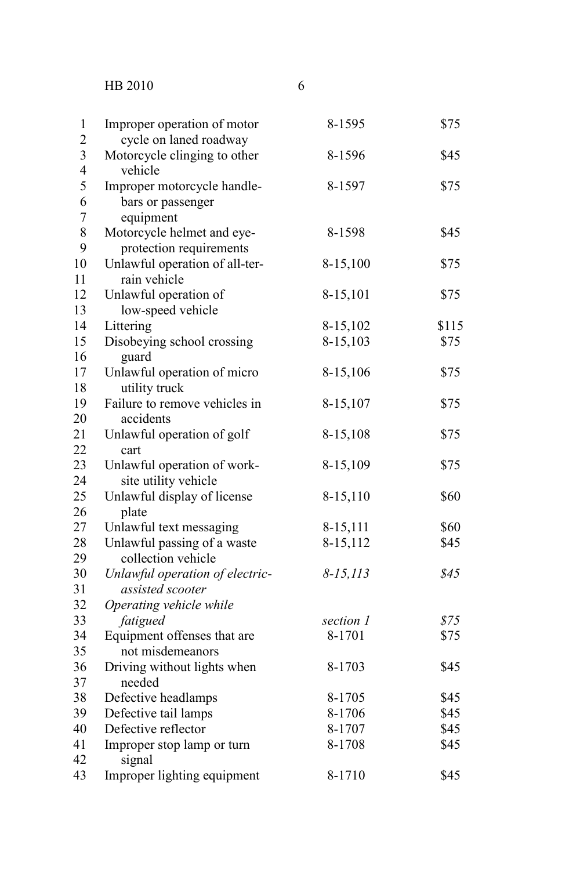HB 2010

| $\,1$                   | Improper operation of motor     | 8-1595        | \$75  |
|-------------------------|---------------------------------|---------------|-------|
| $\overline{c}$          | cycle on laned roadway          |               |       |
| $\overline{\mathbf{3}}$ | Motorcycle clinging to other    | 8-1596        | \$45  |
| $\overline{4}$          | vehicle                         |               |       |
| 5                       | Improper motorcycle handle-     | 8-1597        | \$75  |
| 6                       | bars or passenger               |               |       |
| $\overline{7}$          | equipment                       |               |       |
| 8                       | Motorcycle helmet and eye-      | 8-1598        | \$45  |
| 9                       | protection requirements         |               |       |
| 10                      | Unlawful operation of all-ter-  | 8-15,100      | \$75  |
| 11                      | rain vehicle                    |               |       |
| 12                      | Unlawful operation of           | 8-15,101      | \$75  |
| 13                      | low-speed vehicle               |               |       |
| 14                      | Littering                       | 8-15,102      | \$115 |
| 15                      | Disobeying school crossing      | 8-15,103      | \$75  |
| 16                      | guard                           |               |       |
| 17                      | Unlawful operation of micro     | 8-15,106      | \$75  |
| 18                      | utility truck                   |               |       |
| 19                      | Failure to remove vehicles in   | 8-15,107      | \$75  |
| 20                      | accidents                       |               |       |
| 21                      | Unlawful operation of golf      | 8-15,108      | \$75  |
| 22                      | cart                            |               |       |
| 23                      | Unlawful operation of work-     | 8-15,109      | \$75  |
| 24                      | site utility vehicle            |               |       |
| 25                      | Unlawful display of license     | 8-15,110      | \$60  |
| 26                      | plate                           |               |       |
| 27                      | Unlawful text messaging         | 8-15,111      | \$60  |
| 28                      | Unlawful passing of a waste     | 8-15,112      | \$45  |
| 29                      | collection vehicle              |               |       |
| 30                      | Unlawful operation of electric- | $8 - 15, 113$ | \$45  |
| 31                      | assisted scooter                |               |       |
| 32                      | Operating vehicle while         |               |       |
| 33                      | fatigued                        | section 1     | \$75  |
| 34                      | Equipment offenses that are     | 8-1701        | \$75  |
| 35                      | not misdemeanors                |               |       |
| 36                      | Driving without lights when     | 8-1703        | \$45  |
| 37                      | needed                          |               |       |
| 38                      | Defective headlamps             | 8-1705        | \$45  |
| 39                      | Defective tail lamps            | 8-1706        | \$45  |
| 40                      | Defective reflector             | 8-1707        | \$45  |
| 41                      | Improper stop lamp or turn      | 8-1708        | \$45  |
| 42                      | signal                          |               |       |
| 43                      | Improper lighting equipment     | 8-1710        | \$45  |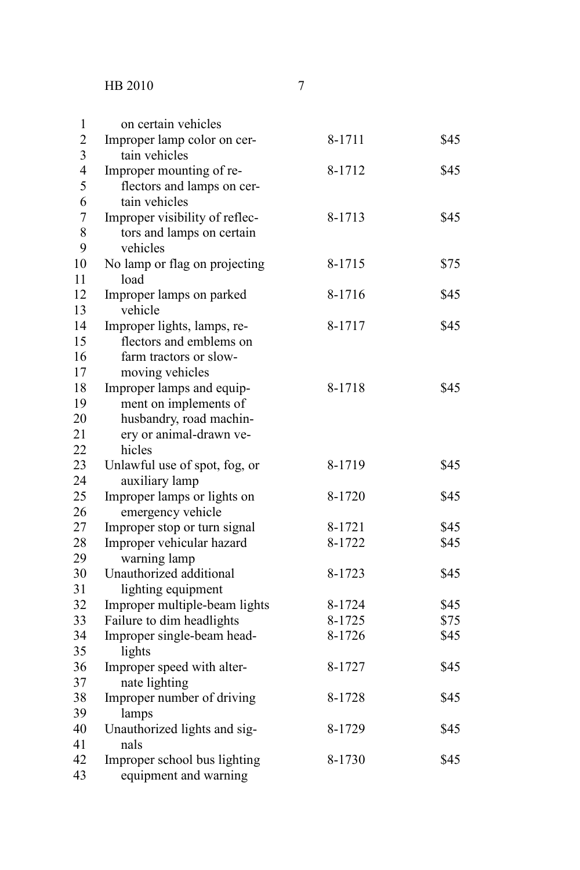| 1                | on certain vehicles                                |        |      |
|------------------|----------------------------------------------------|--------|------|
| $\overline{2}$   | Improper lamp color on cer-                        | 8-1711 | \$45 |
| 3                | tain vehicles                                      |        |      |
| 4                | Improper mounting of re-                           | 8-1712 | \$45 |
| 5                | flectors and lamps on cer-                         |        |      |
| 6                | tain vehicles                                      |        |      |
| $\boldsymbol{7}$ | Improper visibility of reflec-                     | 8-1713 | \$45 |
| 8                | tors and lamps on certain                          |        |      |
| 9                | vehicles                                           |        |      |
| 10               | No lamp or flag on projecting                      | 8-1715 | \$75 |
| 11               | load                                               |        |      |
| 12               | Improper lamps on parked                           | 8-1716 | \$45 |
| 13               | vehicle                                            |        |      |
| 14               | Improper lights, lamps, re-                        | 8-1717 | \$45 |
| 15               | flectors and emblems on                            |        |      |
| 16               | farm tractors or slow-                             |        |      |
| 17               | moving vehicles                                    |        |      |
| 18<br>19         | Improper lamps and equip-                          | 8-1718 | \$45 |
| 20               | ment on implements of                              |        |      |
| 21               | husbandry, road machin-<br>ery or animal-drawn ve- |        |      |
| 22               | hicles                                             |        |      |
| 23               | Unlawful use of spot, fog, or                      | 8-1719 | \$45 |
| 24               | auxiliary lamp                                     |        |      |
| 25               | Improper lamps or lights on                        | 8-1720 | \$45 |
| 26               | emergency vehicle                                  |        |      |
| 27               | Improper stop or turn signal                       | 8-1721 | \$45 |
| 28               | Improper vehicular hazard                          | 8-1722 | \$45 |
| 29               | warning lamp                                       |        |      |
| 30               | Unauthorized additional                            | 8-1723 | \$45 |
| 31               | lighting equipment                                 |        |      |
| 32               | Improper multiple-beam lights                      | 8-1724 | \$45 |
| 33               | Failure to dim headlights                          | 8-1725 | \$75 |
| 34               | Improper single-beam head-                         | 8-1726 | \$45 |
| 35               | lights                                             |        |      |
| 36               | Improper speed with alter-                         | 8-1727 | \$45 |
| 37               | nate lighting                                      |        |      |
| 38               | Improper number of driving                         | 8-1728 | \$45 |
| 39               | lamps                                              |        |      |
| 40               | Unauthorized lights and sig-                       | 8-1729 | \$45 |
| 41               | nals                                               |        |      |
| 42               | Improper school bus lighting                       | 8-1730 | \$45 |
| 43               | equipment and warning                              |        |      |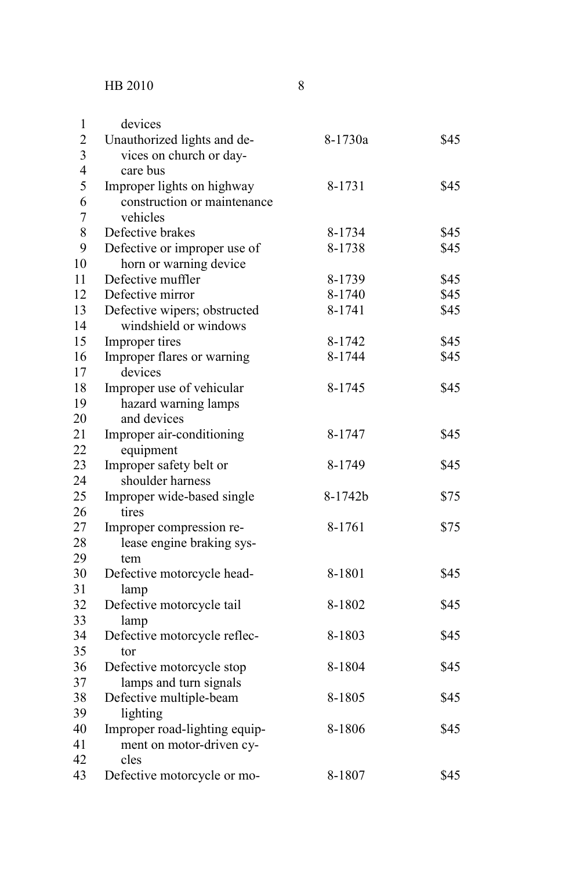| $\mathbf{1}$   | devices                       |         |      |
|----------------|-------------------------------|---------|------|
| $\overline{2}$ | Unauthorized lights and de-   | 8-1730a | \$45 |
| 3              | vices on church or day-       |         |      |
| $\overline{4}$ | care bus                      |         |      |
| 5              | Improper lights on highway    | 8-1731  | \$45 |
| 6              | construction or maintenance   |         |      |
| $\overline{7}$ | vehicles                      |         |      |
| 8              | Defective brakes              | 8-1734  | \$45 |
| 9              | Defective or improper use of  | 8-1738  | \$45 |
| 10             | horn or warning device        |         |      |
| 11             | Defective muffler             | 8-1739  | \$45 |
| 12             | Defective mirror              | 8-1740  | \$45 |
| 13             | Defective wipers; obstructed  | 8-1741  | \$45 |
| 14             | windshield or windows         |         |      |
| 15             | Improper tires                | 8-1742  | \$45 |
| 16             | Improper flares or warning    | 8-1744  | \$45 |
| 17             | devices                       |         |      |
| 18             | Improper use of vehicular     | 8-1745  | \$45 |
| 19             | hazard warning lamps          |         |      |
| 20             | and devices                   |         |      |
| 21             | Improper air-conditioning     | 8-1747  | \$45 |
| 22             | equipment                     |         |      |
| 23             | Improper safety belt or       | 8-1749  | \$45 |
| 24             | shoulder harness              |         |      |
| 25             | Improper wide-based single    | 8-1742b | \$75 |
| 26             | tires                         |         |      |
| 27             | Improper compression re-      | 8-1761  | \$75 |
| 28             | lease engine braking sys-     |         |      |
| 29             | tem                           |         |      |
| 30             | Defective motorcycle head-    | 8-1801  | \$45 |
| 31             | lamp                          |         |      |
| 32             | Defective motorcycle tail     | 8-1802  | \$45 |
| 33             | lamp                          |         |      |
| 34             | Defective motorcycle reflec-  | 8-1803  | \$45 |
| 35             | tor                           |         |      |
| 36             | Defective motorcycle stop     | 8-1804  | \$45 |
| 37             | lamps and turn signals        |         |      |
| 38             | Defective multiple-beam       | 8-1805  | \$45 |
| 39             | lighting                      |         |      |
| 40             | Improper road-lighting equip- | 8-1806  | \$45 |
| 41             | ment on motor-driven cy-      |         |      |
| 42             | cles                          |         |      |
| 43             | Defective motorcycle or mo-   | 8-1807  | \$45 |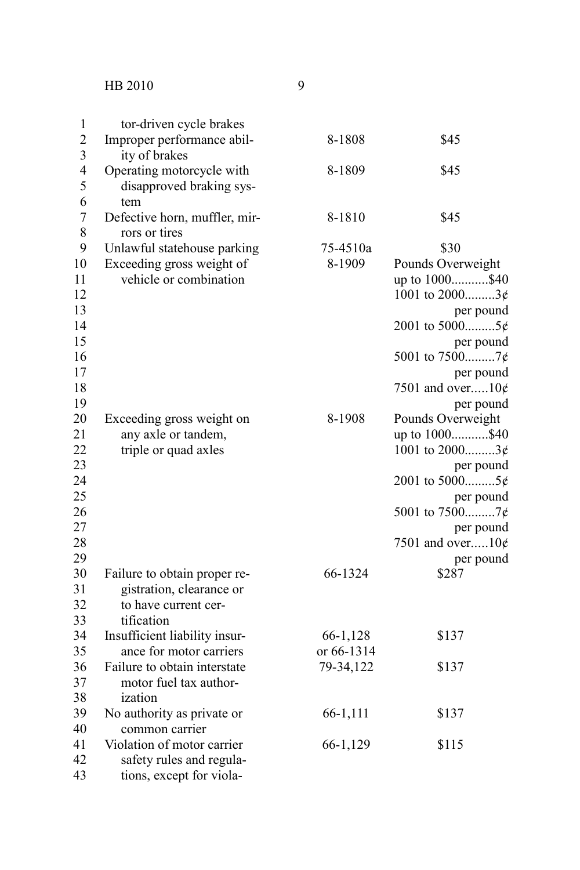| $\mathbf{1}$   | tor-driven cycle brakes       |            |                     |
|----------------|-------------------------------|------------|---------------------|
| $\overline{2}$ | Improper performance abil-    | 8-1808     | \$45                |
| 3              | ity of brakes                 |            |                     |
| $\overline{4}$ | Operating motorcycle with     | 8-1809     | \$45                |
| 5              | disapproved braking sys-      |            |                     |
| 6              | tem                           |            |                     |
| $\overline{7}$ | Defective horn, muffler, mir- | 8-1810     | \$45                |
| 8              | rors or tires                 |            |                     |
| 9              | Unlawful statehouse parking   | 75-4510a   | \$30                |
| 10             | Exceeding gross weight of     | 8-1909     | Pounds Overweight   |
| 11             | vehicle or combination        |            | up to 1000\$40      |
| 12             |                               |            | 1001 to $2000$ 3¢   |
| 13             |                               |            | per pound           |
| 14             |                               |            | 2001 to 50005¢      |
| 15             |                               |            | per pound           |
| 16             |                               |            | 5001 to 75007¢      |
| 17             |                               |            | per pound           |
| 18             |                               |            | 7501 and over $10¢$ |
| 19             |                               |            | per pound           |
| 20             | Exceeding gross weight on     | 8-1908     | Pounds Overweight   |
| 21             | any axle or tandem,           |            | up to 1000\$40      |
| 22             | triple or quad axles          |            | 1001 to $2000$ 3¢   |
| 23             |                               |            | per pound           |
| 24             |                               |            | 2001 to 50005¢      |
| 25             |                               |            | per pound           |
| 26             |                               |            |                     |
| 27             |                               |            | per pound           |
| 28             |                               |            | 7501 and over $10¢$ |
| 29             |                               |            | per pound           |
| 30             | Failure to obtain proper re-  | 66-1324    | \$287               |
| 31             | gistration, clearance or      |            |                     |
| 32             | to have current cer-          |            |                     |
| 33             | tification                    |            |                     |
| 34             | Insufficient liability insur- | 66-1,128   | \$137               |
| 35             | ance for motor carriers       | or 66-1314 |                     |
| 36             | Failure to obtain interstate  | 79-34,122  | \$137               |
| 37             | motor fuel tax author-        |            |                     |
| 38             | ization                       |            |                     |
| 39             | No authority as private or    | 66-1,111   | \$137               |
| 40             | common carrier                |            |                     |
| 41             | Violation of motor carrier    | 66-1,129   | \$115               |
| 42             | safety rules and regula-      |            |                     |
| 43             | tions, except for viola-      |            |                     |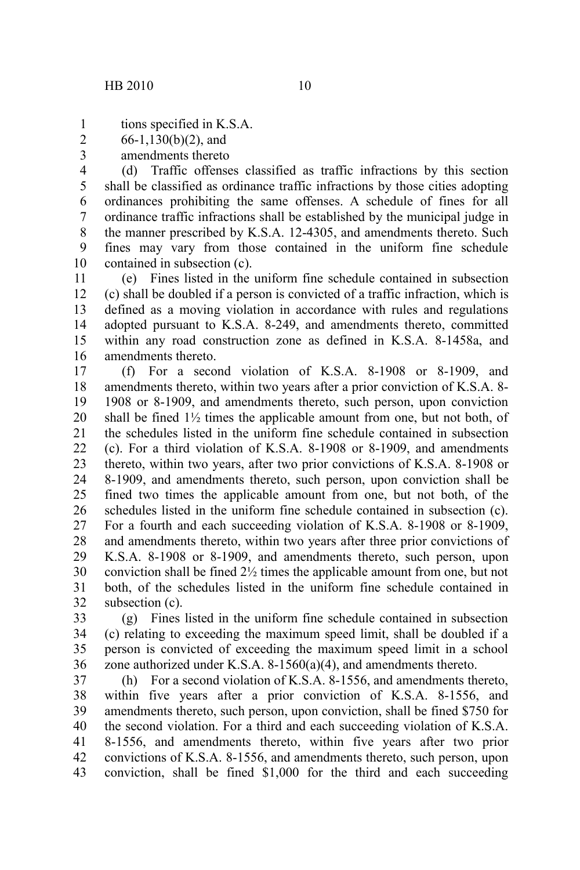tions specified in K.S.A. 1

- 66-1,130(b)(2), and 2
- amendments thereto 3

(d) Traffic offenses classified as traffic infractions by this section shall be classified as ordinance traffic infractions by those cities adopting ordinances prohibiting the same offenses. A schedule of fines for all ordinance traffic infractions shall be established by the municipal judge in the manner prescribed by K.S.A. 12-4305, and amendments thereto. Such fines may vary from those contained in the uniform fine schedule contained in subsection (c). 4 5 6 7 8 9 10

(e) Fines listed in the uniform fine schedule contained in subsection (c) shall be doubled if a person is convicted of a traffic infraction, which is defined as a moving violation in accordance with rules and regulations adopted pursuant to K.S.A. 8-249, and amendments thereto, committed within any road construction zone as defined in K.S.A. 8-1458a, and amendments thereto. 11 12 13 14 15 16

(f) For a second violation of K.S.A. 8-1908 or 8-1909, and amendments thereto, within two years after a prior conviction of K.S.A. 8- 1908 or 8-1909, and amendments thereto, such person, upon conviction shall be fined  $1\frac{1}{2}$  times the applicable amount from one, but not both, of the schedules listed in the uniform fine schedule contained in subsection (c). For a third violation of K.S.A. 8-1908 or 8-1909, and amendments thereto, within two years, after two prior convictions of K.S.A. 8-1908 or 8-1909, and amendments thereto, such person, upon conviction shall be fined two times the applicable amount from one, but not both, of the schedules listed in the uniform fine schedule contained in subsection (c). For a fourth and each succeeding violation of K.S.A. 8-1908 or 8-1909, and amendments thereto, within two years after three prior convictions of K.S.A. 8-1908 or 8-1909, and amendments thereto, such person, upon conviction shall be fined 2½ times the applicable amount from one, but not both, of the schedules listed in the uniform fine schedule contained in subsection (c). 17 18 19 20 21 22 23 24 25 26 27 28 29 30 31 32

(g) Fines listed in the uniform fine schedule contained in subsection (c) relating to exceeding the maximum speed limit, shall be doubled if a person is convicted of exceeding the maximum speed limit in a school zone authorized under K.S.A. 8-1560(a)(4), and amendments thereto. 33 34 35 36

(h) For a second violation of K.S.A. 8-1556, and amendments thereto, within five years after a prior conviction of K.S.A. 8-1556, and amendments thereto, such person, upon conviction, shall be fined \$750 for the second violation. For a third and each succeeding violation of K.S.A. 8-1556, and amendments thereto, within five years after two prior convictions of K.S.A. 8-1556, and amendments thereto, such person, upon conviction, shall be fined \$1,000 for the third and each succeeding 37 38 39 40 41 42 43